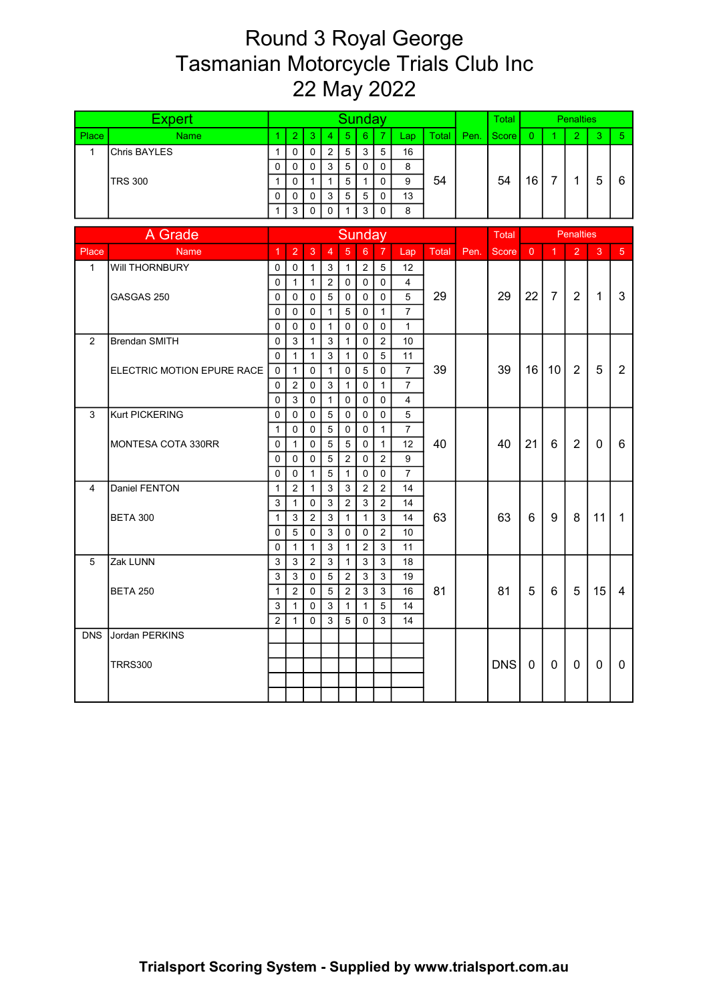## Round 3 Royal George Tasmanian Motorcycle Trials Club Inc 22 May 2022

|                | Expert                     | <b>Sunday</b><br>5<br>$\overline{7}$<br>$\overline{2}$<br>$6^{\circ}$<br>1<br>3<br>$\overline{4}$<br>Lap<br>Total |                  |                   |                              |                          |                  |                |                                |       |      |              |                |                | <b>Penalties</b> |              |                |
|----------------|----------------------------|-------------------------------------------------------------------------------------------------------------------|------------------|-------------------|------------------------------|--------------------------|------------------|----------------|--------------------------------|-------|------|--------------|----------------|----------------|------------------|--------------|----------------|
| Place          | <b>Name</b>                |                                                                                                                   |                  |                   |                              |                          |                  |                |                                |       | Pen. | <b>Score</b> | $\Omega$       | 1              | $\overline{2}$   | 3            | 5 <sup>1</sup> |
| $\mathbf{1}$   | Chris BAYLES               | $\mathbf{1}$                                                                                                      | $\Omega$         | 0                 | $\overline{2}$               | 5                        | 3                | 5              | 16                             |       |      |              |                |                |                  |              |                |
|                |                            | 0                                                                                                                 | $\mathbf 0$      | 0                 | 3                            | 5                        | 0                | 0              | 8                              |       |      |              |                |                |                  |              |                |
|                | <b>TRS 300</b>             | $\mathbf{1}$                                                                                                      | $\Omega$         | $\mathbf{1}$      | $\mathbf{1}$                 | $5\overline{)}$          | $\mathbf{1}$     | $\Omega$       | 9                              | 54    |      | 54           | 16             | $\overline{7}$ | $\mathbf{1}$     | 5            | 6              |
|                |                            | 0                                                                                                                 | $\Omega$         | 0                 | 3                            | 5                        | $\overline{5}$   | $\Omega$       | 13                             |       |      |              |                |                |                  |              |                |
|                |                            | $\mathbf{1}$                                                                                                      | 3                | $\Omega$          | $\Omega$                     | 1                        | 3                | $\Omega$       | 8                              |       |      |              |                |                |                  |              |                |
|                | A Grade                    |                                                                                                                   |                  |                   |                              |                          | <b>Sunday</b>    |                |                                |       |      | Total        |                |                | <b>Penalties</b> |              |                |
|                |                            |                                                                                                                   |                  |                   | $\overline{4}$               | $5\overline{5}$          |                  |                |                                |       |      |              |                |                |                  |              |                |
| Place          | <b>Name</b>                | $\mathbf{1}$                                                                                                      | $\overline{2}$   | 3                 |                              |                          | $6\overline{6}$  | $\overline{7}$ | Lap                            | Total | Pen. | Score        | $\overline{0}$ | $\overline{1}$ | $\overline{2}$   | 3            | 5 <sup>5</sup> |
| $\mathbf{1}$   | Will THORNBURY             | 0                                                                                                                 | $\mathbf 0$      | $\mathbf{1}$      | 3                            | $\mathbf{1}$             | $\overline{2}$   | 5              | 12                             |       |      |              |                |                |                  |              |                |
|                |                            | $\mathbf{0}$                                                                                                      | $\mathbf{1}$     | $\mathbf{1}$      | $\overline{2}$               | $\Omega$                 | $\mathbf 0$      | $\Omega$       | $\overline{4}$                 |       |      |              |                |                |                  |              |                |
|                | GASGAS 250                 | $\Omega$                                                                                                          | $\Omega$         | $\Omega$          | 5                            | $\mathbf{0}$             | $\mathbf 0$      | $\Omega$       | 5                              | 29    |      | 29           | 22             | $\overline{7}$ | 2                | $\mathbf{1}$ | 3              |
|                |                            | 0<br>$\mathbf{0}$                                                                                                 | $\mathbf 0$<br>0 | 0                 | $\mathbf{1}$<br>$\mathbf{1}$ | 5<br>$\Omega$            | $\mathbf 0$<br>0 | $\mathbf{1}$   | $\overline{7}$<br>$\mathbf{1}$ |       |      |              |                |                |                  |              |                |
| $\overline{2}$ | <b>Brendan SMITH</b>       | $\mathbf 0$                                                                                                       | 3                | 0<br>$\mathbf{1}$ |                              | $\mathbf{1}$             | 0                | $\mathbf 0$    |                                |       |      |              |                |                |                  |              |                |
|                |                            | $\Omega$                                                                                                          | $\mathbf{1}$     | $\mathbf{1}$      | 3<br>3                       |                          | $\mathbf 0$      | 2<br>5         | 10<br>11                       |       |      |              |                |                |                  |              |                |
|                | ELECTRIC MOTION EPURE RACE | $\Omega$                                                                                                          | $\mathbf{1}$     | 0                 | $\mathbf{1}$                 | $\mathbf{1}$<br>$\Omega$ | $\overline{5}$   | $\mathbf 0$    | $\overline{7}$                 | 39    |      | 39           | 16             | 10             | $\overline{2}$   | 5            | $\overline{2}$ |
|                |                            | 0                                                                                                                 | $\overline{c}$   | $\mathbf 0$       | 3                            | $\mathbf{1}$             | $\mathbf 0$      | $\mathbf{1}$   | $\overline{7}$                 |       |      |              |                |                |                  |              |                |
|                |                            | $\overline{0}$                                                                                                    | 3                | $\mathbf 0$       | $\mathbf{1}$                 | $\Omega$                 | $\mathbf 0$      | $\mathbf 0$    | $\overline{4}$                 |       |      |              |                |                |                  |              |                |
| 3              | Kurt PICKERING             | 0                                                                                                                 | $\Omega$         | 0                 | 5                            | $\Omega$                 | 0                | $\Omega$       | 5                              |       |      |              |                |                |                  |              |                |
|                |                            | $\mathbf{1}$                                                                                                      | $\Omega$         | 0                 | 5                            | $\mathbf 0$              | 0                | $\mathbf{1}$   | $\overline{7}$                 |       |      |              |                |                |                  |              |                |
|                | MONTESA COTA 330RR         | $\Omega$                                                                                                          | $\mathbf{1}$     | 0                 | 5                            | 5                        | $\mathbf 0$      | $\mathbf{1}$   | 12                             | 40    |      | 40           | 21             | 6              | $\overline{2}$   | $\mathbf{0}$ | 6              |
|                |                            | $\Omega$                                                                                                          | $\Omega$         | $\mathbf{0}$      | 5                            | 2                        | $\Omega$         | $\overline{2}$ | 9                              |       |      |              |                |                |                  |              |                |
|                |                            | 0                                                                                                                 | 0                | 1                 | 5                            | $\mathbf{1}$             | $\mathbf 0$      | $\mathbf 0$    | $\overline{7}$                 |       |      |              |                |                |                  |              |                |
| 4              | Daniel FENTON              | 1                                                                                                                 | 2                | $\mathbf{1}$      | 3                            | 3                        | $\overline{2}$   | 2              | 14                             |       |      |              |                |                |                  |              |                |
|                |                            | 3                                                                                                                 | $\mathbf{1}$     | $\mathbf 0$       | 3                            | 2                        | 3                | 2              | 14                             |       |      |              |                |                |                  |              |                |
|                | <b>BETA 300</b>            | $\mathbf{1}$                                                                                                      | 3                | $\overline{2}$    | 3                            | $\mathbf{1}$             | $\mathbf{1}$     | $\mathfrak{S}$ | 14                             | 63    |      | 63           | 6              | 9              | 8                | 11           | $\mathbf{1}$   |
|                |                            | 0                                                                                                                 | 5                | 0                 | 3                            | $\mathbf 0$              | 0                | $\overline{2}$ | 10                             |       |      |              |                |                |                  |              |                |
|                |                            | $\Omega$                                                                                                          | $\mathbf{1}$     | $\mathbf{1}$      | 3                            | $\mathbf{1}$             | 2                | 3              | 11                             |       |      |              |                |                |                  |              |                |
| $\overline{5}$ | Zak LUNN                   | 3                                                                                                                 | 3                | $\overline{2}$    | 3                            | $\mathbf{1}$             | 3                | 3              | 18                             |       |      |              |                |                |                  |              |                |
|                |                            | 3                                                                                                                 | 3                | $\Omega$          | 5                            | 2                        | 3                | 3              | 19                             |       |      |              |                |                |                  |              |                |
|                | <b>BETA 250</b>            | $\mathbf{1}$                                                                                                      | $\overline{c}$   | 0                 | 5                            | $\overline{2}$           | 3                | 3              | 16                             | 81    |      | 81           | 5              | $6\phantom{1}$ | 5                | 15           | 4              |
|                |                            | 3                                                                                                                 | $\mathbf{1}$     | 0                 | 3                            | $\mathbf{1}$             | $\mathbf{1}$     | 5              | 14                             |       |      |              |                |                |                  |              |                |
|                |                            | $\overline{2}$                                                                                                    | $\mathbf{1}$     | 0                 | 3                            | 5                        | $\Omega$         | 3              | 14                             |       |      |              |                |                |                  |              |                |
| <b>DNS</b>     | Jordan PERKINS             |                                                                                                                   |                  |                   |                              |                          |                  |                |                                |       |      |              |                |                |                  |              |                |
|                |                            |                                                                                                                   |                  |                   |                              |                          |                  |                |                                |       |      |              |                |                |                  |              |                |
|                | <b>TRRS300</b>             |                                                                                                                   |                  |                   |                              |                          |                  |                |                                |       |      | DNS          | 0              | 0              | 0                | 0            | 0              |
|                |                            |                                                                                                                   |                  |                   |                              |                          |                  |                |                                |       |      |              |                |                |                  |              |                |
|                |                            |                                                                                                                   |                  |                   |                              |                          |                  |                |                                |       |      |              |                |                |                  |              |                |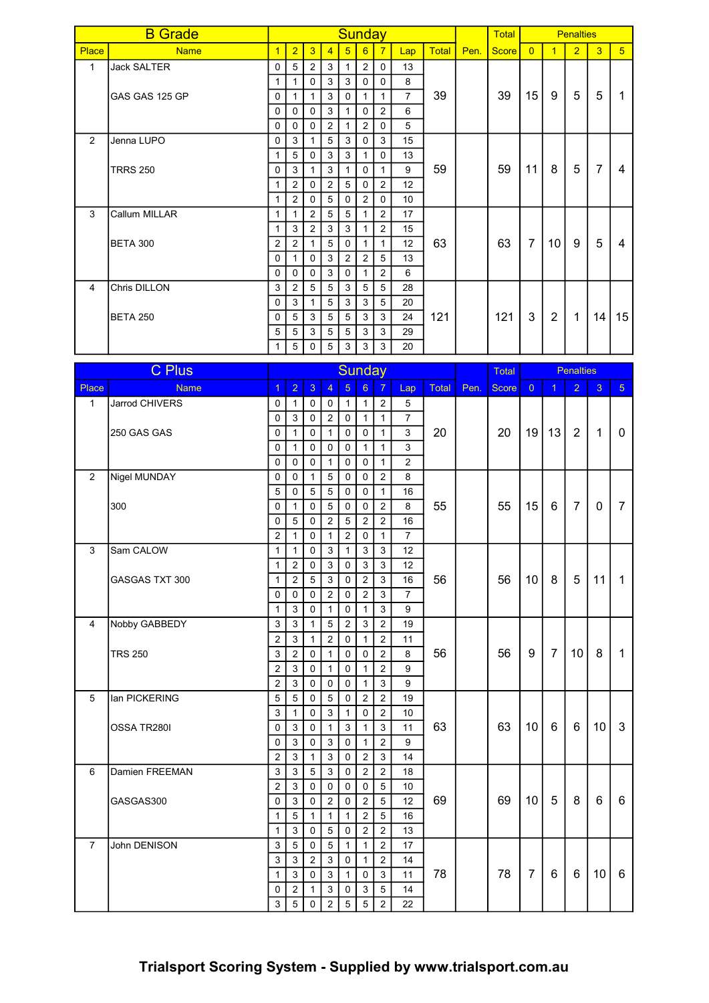|              | <b>B</b> Grade     |                |                |                |                |                 | Sunday         |                |                 |              |      | <b>Total</b> |                |                | <b>Penalties</b> |                |                |
|--------------|--------------------|----------------|----------------|----------------|----------------|-----------------|----------------|----------------|-----------------|--------------|------|--------------|----------------|----------------|------------------|----------------|----------------|
| <b>Place</b> | <b>Name</b>        | $\overline{1}$ | $\overline{2}$ | $\overline{3}$ | $\overline{4}$ | $5\overline{)}$ | 6              | $\overline{7}$ | Lap             | <b>Total</b> | Pen. | <b>Score</b> | $\overline{0}$ | $\overline{1}$ | $\overline{2}$   | $\overline{3}$ | 5 <sup>5</sup> |
| $\mathbf{1}$ | <b>Jack SALTER</b> | 0              | 5              | $\overline{2}$ | 3              | 1               | $\overline{2}$ | $\Omega$       | 13              |              |      |              |                |                |                  |                |                |
|              |                    | $\mathbf{1}$   | 1              | $\Omega$       | 3              | 3               | $\Omega$       | $\Omega$       | 8               |              |      |              |                |                |                  |                |                |
|              | GAS GAS 125 GP     | $\Omega$       | 1              |                | 3              | $\Omega$        |                | $\mathbf{1}$   | $\overline{7}$  | 39           |      | 39           | 15             | 9              | 5                | 5              |                |
|              |                    | 0              | 0              | $\mathbf 0$    | 3              | 1               | $\mathbf 0$    | $\overline{c}$ | 6               |              |      |              |                |                |                  |                |                |
|              |                    | $\Omega$       | $\Omega$       | $\Omega$       | 2              | 1               | 2              | $\Omega$       | 5               |              |      |              |                |                |                  |                |                |
| 2            | Jenna LUPO         | $\Omega$       | 3              |                | 5              | 3               | $\Omega$       | 3              | 15              |              |      |              |                |                |                  |                |                |
|              |                    |                | 5              | $\mathbf 0$    | 3              | 3               |                | $\Omega$       | 13              | 59           |      |              |                |                |                  |                |                |
|              | <b>TRRS 250</b>    | $\Omega$       | 3              |                | 3              | 1               | $\Omega$       | 1              | 9               |              |      | 59           | 11             | 8              | 5                | $\overline{7}$ | 4              |
|              |                    |                | $\overline{2}$ | $\mathbf{0}$   | 2              | 5               | $\Omega$       | $\overline{2}$ | 12 <sup>2</sup> |              |      |              |                |                |                  |                |                |
|              |                    | 1              | $\overline{2}$ | 0              | 5              | $\mathbf 0$     | 2              | $\mathbf 0$    | 10 <sup>°</sup> |              |      |              |                |                |                  |                |                |
| 3            | Callum MILLAR      | 1              |                | $\overline{2}$ | 5              | 5               |                | 2              | 17              |              |      |              |                |                |                  |                |                |
|              |                    | 1              | 3              | $\overline{2}$ | 3              | 3               |                | $\overline{2}$ | 15              |              |      |              |                |                |                  |                |                |
|              | <b>BETA 300</b>    | $\overline{2}$ | $\overline{2}$ |                | 5              | $\Omega$        | 1              | $\mathbf{1}$   | 12 <sup>°</sup> | 63           |      | 63           | $\overline{7}$ | 10             | 9                | 5              | 4              |
|              |                    | $\Omega$       | 1              | $\mathbf{0}$   | 3              | $\overline{2}$  | $\overline{2}$ | 5              | 13              |              |      |              |                |                |                  |                |                |
|              |                    | $\Omega$       | $\Omega$       | $\mathbf{0}$   | 3              | $\Omega$        |                | 2              | 6               |              |      |              |                |                |                  |                |                |
| 4            | Chris DILLON       | 3              | $\overline{2}$ | 5 <sup>5</sup> | 5              | 3               | 5              | 5              | 28              |              |      |              |                |                |                  |                |                |
|              |                    | $\Omega$       | 3              |                | 5              | 3               | 3              | 5              | 20              |              |      |              |                |                |                  |                |                |
|              | <b>BETA 250</b>    | 0              | 5              | 3              | 5              | 5               | 3              | 3              | 24              | 121          |      | 121          | 3              | $\overline{2}$ | 1                | 14             | 15             |
|              |                    | 5              | 5              | 3              | 5              | 5               | 3              | 3              | 29              |              |      |              |                |                |                  |                |                |
|              |                    |                | 5              | $\Omega$       | 5              | 3               | 3              | 3              | 20              |              |      |              |                |                |                  |                |                |

|                | <b>C</b> Plus  |                |                |                 |                |                | <b>Sunday</b>   |                |                |       | Total |              |                | <b>Penalties</b> |                |                |                |
|----------------|----------------|----------------|----------------|-----------------|----------------|----------------|-----------------|----------------|----------------|-------|-------|--------------|----------------|------------------|----------------|----------------|----------------|
| Place          | <b>Name</b>    | $\overline{1}$ | $\overline{2}$ | $\overline{3}$  | $\overline{4}$ | $\overline{5}$ | $6\overline{6}$ | $\overline{7}$ | Lap            | Total | Pen.  | <b>Score</b> | $\overline{0}$ | $\overline{1}$   | $\overline{2}$ | 3              | 5 <sub>5</sub> |
| $\mathbf{1}$   | Jarrod CHIVERS | 0              | $\mathbf{1}$   | 0               | $\mathbf 0$    | $\mathbf{1}$   | $\mathbf{1}$    | $\overline{2}$ | 5              |       |       |              |                |                  |                |                |                |
|                |                | 0              | 3              | 0               | $\overline{2}$ | $\Omega$       | $\mathbf{1}$    | $\mathbf{1}$   | $\overline{7}$ |       |       |              |                |                  |                |                |                |
|                | 250 GAS GAS    | 0              | $\mathbf{1}$   | $\mathbf 0$     | $\mathbf{1}$   | $\mathbf 0$    | $\mathsf 0$     | $\mathbf{1}$   | 3              | 20    |       | 20           | 19             | 13               | $\overline{2}$ | $\mathbf{1}$   | $\mathbf 0$    |
|                |                | 0              | $\mathbf{1}$   | $\mathbf 0$     | $\mathbf 0$    | $\Omega$       | $\mathbf{1}$    | $\mathbf{1}$   | 3              |       |       |              |                |                  |                |                |                |
|                |                | 0              | 0              | $\mathbf 0$     | $\mathbf{1}$   | $\mathbf 0$    | $\mathbf 0$     | $\mathbf{1}$   | $\overline{2}$ |       |       |              |                |                  |                |                |                |
| $\overline{2}$ | Nigel MUNDAY   | 0              | $\Omega$       | $\mathbf{1}$    | 5              | $\mathbf 0$    | $\mathbf 0$     | $\overline{2}$ | 8              |       |       |              |                |                  |                |                |                |
|                |                | 5              | $\Omega$       | 5               | 5              | $\Omega$       | $\mathbf 0$     | $\mathbf{1}$   | 16             |       |       |              |                |                  |                |                |                |
|                | 300            | 0              | $\mathbf{1}$   | $\mathbf 0$     | 5              | $\mathbf 0$    | 0               | $\overline{2}$ | 8              | 55    |       | 55           | 15             | 6                | $\overline{7}$ | $\mathbf{0}$   | 7              |
|                |                | 0              | 5              | 0               | $\overline{2}$ | 5              | $\overline{2}$  | $\overline{2}$ | 16             |       |       |              |                |                  |                |                |                |
|                |                | $\overline{2}$ | $\mathbf{1}$   | $\mathbf 0$     | $\mathbf{1}$   | $\overline{2}$ | $\mathbf 0$     | $\mathbf{1}$   | $\overline{7}$ |       |       |              |                |                  |                |                |                |
| 3              | Sam CALOW      | $\mathbf{1}$   | $\mathbf{1}$   | 0               | 3              | $\mathbf{1}$   | 3               | 3              | 12             |       |       |              |                |                  |                |                |                |
|                |                | $\mathbf{1}$   | $\overline{2}$ | 0               | 3              | $\Omega$       | 3               | 3              | 12             |       |       |              |                |                  |                |                |                |
|                | GASGAS TXT 300 | $\mathbf{1}$   | $\overline{c}$ | 5               | 3              | $\Omega$       | $\overline{2}$  | 3              | 16             | 56    |       | 56           | 10             | 8                | 5              | 11             | 1              |
|                |                | 0              | 0              | 0               | $\overline{2}$ | $\Omega$       | $\overline{2}$  | 3              | $\overline{7}$ |       |       |              |                |                  |                |                |                |
|                |                | $\mathbf{1}$   | 3              | 0               | $\mathbf{1}$   | $\Omega$       | $\mathbf{1}$    | 3              | 9              |       |       |              |                |                  |                |                |                |
| 4              | Nobby GABBEDY  | 3              | 3              | $\mathbf{1}$    | 5              | 2              | $\mathbf{3}$    | $\overline{2}$ | 19             |       |       |              |                |                  |                |                |                |
|                |                | $\overline{c}$ | $\mathbf{3}$   | 1               | $\overline{2}$ | $\Omega$       | $\mathbf{1}$    | $\overline{2}$ | 11             |       |       |              |                |                  |                |                |                |
|                | <b>TRS 250</b> | 3              | $\sqrt{2}$     | 0               | $\mathbf{1}$   | $\mathbf 0$    | $\mathsf 0$     | $\overline{2}$ | 8              | 56    |       | 56           | 9              | $\overline{7}$   | 10             | 8              | $\mathbf{1}$   |
|                |                | $\overline{2}$ | $\mathbf{3}$   | 0               | $\mathbf{1}$   | $\mathbf 0$    | $\mathbf{1}$    | $\overline{2}$ | 9              |       |       |              |                |                  |                |                |                |
|                |                | $\overline{2}$ | $\mathbf{3}$   | 0               | $\mathbf 0$    | $\mathbf 0$    | $\mathbf{1}$    | $\mathbf{3}$   | 9              |       |       |              |                |                  |                |                |                |
| $\sqrt{5}$     | lan PICKERING  | $\overline{5}$ | $\overline{5}$ | $\mathbf 0$     | 5              | $\mathbf 0$    | $\overline{2}$  | $\overline{2}$ | 19             |       |       |              |                |                  |                |                |                |
|                |                | 3              | $\mathbf{1}$   | 0               | $\mathfrak{S}$ | $\mathbf{1}$   | $\mathsf 0$     | $\overline{2}$ | 10             |       |       |              |                |                  |                |                |                |
|                | OSSA TR280I    | 0              | $\mathbf{3}$   | $\mathbf 0$     | $\mathbf{1}$   | $\mathbf{3}$   | $\mathbf{1}$    | $\mathfrak{S}$ | 11             | 63    |       | 63           | 10             | 6                | 6              | 10             | 3              |
|                |                | 0              | $\sqrt{3}$     | 0               | $\mathbf{3}$   | $\mathbf 0$    | $\mathbf{1}$    | $\overline{2}$ | 9              |       |       |              |                |                  |                |                |                |
|                |                | $\overline{c}$ | $\mathbf{3}$   | $\mathbf{1}$    | $\mathbf{3}$   | $\mathbf 0$    | $\overline{2}$  | $\mathbf{3}$   | 14             |       |       |              |                |                  |                |                |                |
| 6              | Damien FREEMAN | $\mathbf{3}$   | $\mathbf{3}$   | $5\phantom{.0}$ | 3              | $\mathbf 0$    | $\overline{2}$  | $\overline{2}$ | 18             |       |       |              |                |                  |                |                |                |
|                |                | $\overline{2}$ | $\mathbf{3}$   | $\mathbf 0$     | $\mathbf 0$    | $\mathbf 0$    | $\mathsf 0$     | 5              | 10             |       |       |              |                |                  |                |                |                |
|                | GASGAS300      | 0              | $\mathfrak{S}$ | $\mathsf 0$     | $\overline{2}$ | $\mathbf 0$    | $\overline{2}$  | $\overline{5}$ | 12             | 69    |       | 69           | 10             | 5                | 8              | $6\phantom{1}$ | 6              |
|                |                | $\mathbf{1}$   | 5              | $\mathbf{1}$    | $\mathbf{1}$   | $\mathbf{1}$   | $\overline{2}$  | 5              | 16             |       |       |              |                |                  |                |                |                |
|                |                | $\mathbf{1}$   | 3              | $\mathbf 0$     | 5              | $\Omega$       | $\overline{2}$  | $\overline{2}$ | 13             |       |       |              |                |                  |                |                |                |
| $\overline{7}$ | John DENISON   | 3              | $\overline{5}$ | $\mathbf 0$     | $\overline{5}$ | $\mathbf{1}$   | $\mathbf{1}$    | $\overline{2}$ | 17             |       |       |              |                |                  |                |                |                |
|                |                | 3              | $\mathbf{3}$   | $\overline{2}$  | $\mathbf{3}$   | $\mathbf 0$    | $\mathbf{1}$    | $\overline{2}$ | 14             |       |       |              |                |                  |                |                |                |
|                |                | $\mathbf{1}$   | $\sqrt{3}$     | $\mathbf 0$     | 3              | $\mathbf{1}$   | $\pmb{0}$       | 3              | 11             | 78    |       | 78           | $\overline{7}$ | $6\phantom{1}$   | 6              | 10             | $6\phantom{1}$ |
|                |                | 0              | $\overline{c}$ | $\mathbf{1}$    | $\mathfrak{S}$ | $\mathbf 0$    | $\mathbf{3}$    | 5              | 14             |       |       |              |                |                  |                |                |                |
|                |                | 3              | $\overline{5}$ | 0               | $\overline{2}$ | $\overline{5}$ | $\overline{5}$  | $\overline{2}$ | 22             |       |       |              |                |                  |                |                |                |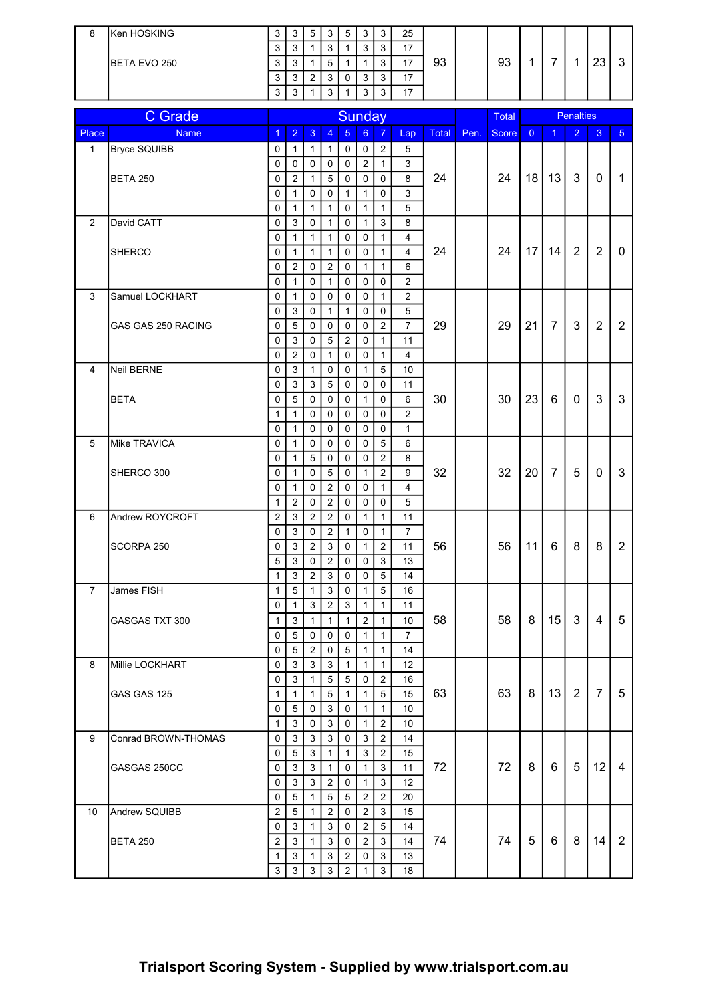| 8 | Ken HOSKING  | ◠<br>ັບ     | n<br>ັ      | ັ                  | ◠<br>N                        | 5 | <u>n</u><br>J | 25             |    |    |  |          |   |
|---|--------------|-------------|-------------|--------------------|-------------------------------|---|---------------|----------------|----|----|--|----------|---|
|   |              | ◠<br>N      | n<br>ັ      |                    | ◠<br>$\overline{\phantom{a}}$ |   | ⌒             | 17             |    |    |  |          |   |
|   | BETA EVO 250 | $\sim$<br>N | n<br>ັ      |                    | w                             |   |               | $4 -$          | 93 | 93 |  | co<br>ںے | v |
|   |              | ◠<br>N      | $\sim$<br>ັ | $\sim$<br><u>.</u> | ◠<br>J                        |   | $\sim$<br>د،  | 17             |    |    |  |          |   |
|   |              | ◠<br>J      | n<br>ັ      |                    | ◠                             |   | ~             | $\overline{ }$ |    |    |  |          |   |

|                | <b>C</b> Grade      | <b>Sunday</b>    |                   |                  |                                |                               |                                |                            |                         |              | <b>Total</b> |              |                | <b>Penalties</b> |                |                |                |
|----------------|---------------------|------------------|-------------------|------------------|--------------------------------|-------------------------------|--------------------------------|----------------------------|-------------------------|--------------|--------------|--------------|----------------|------------------|----------------|----------------|----------------|
| Place          | <b>Name</b>         | $\overline{1}$   | $\overline{2}$    | 3                | $\overline{4}$                 | $5\phantom{1}$                | 6 <sup>1</sup>                 | $\overline{7}$             | Lap                     | <b>Total</b> | Pen.         | <b>Score</b> | $\overline{0}$ | $\overline{1}$   | $\overline{2}$ | 3              | 5 <sup>1</sup> |
| $\mathbf{1}$   | <b>Bryce SQUIBB</b> | 0                | 1                 | $\mathbf 1$      | 1                              | 0                             | $\mathbf 0$                    | $\overline{c}$             | 5                       |              |              |              |                |                  |                |                |                |
|                |                     | 0                | $\mathbf 0$       | $\mathbf 0$      | $\mathbf 0$                    | $\mathbf 0$                   | $\overline{2}$                 | $\mathbf{1}$               | $\mathbf{3}$            |              |              |              |                |                  |                |                |                |
|                | <b>BETA 250</b>     | 0                | $\overline{c}$    | $\mathbf{1}$     | 5                              | $\mathbf 0$                   | $\mathsf{O}\xspace$            | 0                          | 8                       | 24           |              | 24           | 18             | 13               | 3              | 0              | $\mathbf{1}$   |
|                |                     | 0                | $\mathbf{1}$      | 0                | $\mathbf 0$                    | $\mathbf{1}$                  | $\mathbf{1}$                   | 0                          | $\mathsf 3$             |              |              |              |                |                  |                |                |                |
|                |                     | 0                | $\mathbf{1}$      | $\mathbf{1}$     | $\mathbf{1}$                   | $\mathbf 0$                   | $\mathbf{1}$                   | $\mathbf{1}$               | $\overline{5}$          |              |              |              |                |                  |                |                |                |
| $\overline{2}$ | David CATT          | 0                | $\sqrt{3}$        | 0                | $\mathbf{1}$                   | $\mathbf 0$                   | $\mathbf{1}$                   | 3                          | 8                       |              |              |              |                |                  |                |                |                |
|                |                     | 0                | $\mathbf{1}$      | 1                | $\mathbf{1}$                   | $\mathbf 0$                   | $\pmb{0}$                      | $\mathbf{1}$               | $\overline{\mathbf{4}}$ |              |              |              |                |                  |                |                |                |
|                | <b>SHERCO</b>       | 0                | $\mathbf{1}$      | 1                | $\mathbf{1}$                   | $\mathbf 0$                   | 0                              | $\mathbf{1}$               | $\overline{4}$          | 24           |              | 24           | 17             | 14               | $\overline{2}$ | $\overline{2}$ | 0              |
|                |                     | 0                | $\overline{c}$    | 0                | $\overline{2}$                 | $\mathbf 0$                   | $\mathbf{1}$                   | $\mathbf{1}$               | 6                       |              |              |              |                |                  |                |                |                |
|                |                     | $\mathbf 0$      | $\mathbf{1}$      | 0                | $\mathbf{1}$                   | $\mathbf 0$                   | $\mathbf 0$                    | $\mathbf 0$                | $\overline{2}$          |              |              |              |                |                  |                |                |                |
| 3              | Samuel LOCKHART     | $\mathbf 0$      | $\mathbf{1}$      | 0                | $\mathbf 0$                    | $\mathbf 0$                   | $\mathbf 0$                    | $\mathbf{1}$               | $\sqrt{2}$              |              |              |              |                |                  |                |                |                |
|                |                     | $\mathbf 0$      | $\sqrt{3}$        | 0                | $\mathbf{1}$                   | $\mathbf{1}$                  | 0                              | 0                          | 5<br>$\overline{7}$     |              |              | 29           |                | $\overline{7}$   | 3              | $\overline{2}$ | $\overline{2}$ |
|                | GAS GAS 250 RACING  | $\mathbf 0$<br>0 | 5<br>$\sqrt{3}$   | 0<br>0           | $\mathbf 0$<br>$\sqrt{5}$      | $\mathbf 0$<br>$\overline{2}$ | 0<br>0                         | $\sqrt{2}$<br>$\mathbf{1}$ |                         | 29           |              |              | 21             |                  |                |                |                |
|                |                     | 0                | $\overline{c}$    | 0                | $\mathbf{1}$                   | $\mathbf 0$                   | 0                              | 1                          | 11<br>$\overline{4}$    |              |              |              |                |                  |                |                |                |
| 4              | Neil BERNE          | 0                | 3                 | 1                | 0                              | 0                             | 1                              | 5                          | 10                      |              |              |              |                |                  |                |                |                |
|                |                     | 0                | 3                 | 3                | 5                              | 0                             | 0                              | 0                          | 11                      |              |              |              |                |                  |                |                |                |
|                | <b>BETA</b>         | 0                | 5                 | 0                | 0                              | $\mathbf 0$                   | $\mathbf{1}$                   | 0                          | $\,6\,$                 | 30           |              | 30           | 23             | 6                | 0              | 3              | 3              |
|                |                     | $\mathbf{1}$     | $\mathbf{1}$      | 0                | 0                              | $\mathbf 0$                   | 0                              | 0                          | $\overline{c}$          |              |              |              |                |                  |                |                |                |
|                |                     | $\mathbf 0$      | $\mathbf{1}$      | 0                | 0                              | $\mathbf 0$                   | 0                              | 0                          | 1                       |              |              |              |                |                  |                |                |                |
| 5              | Mike TRAVICA        | 0                | $\mathbf{1}$      | 0                | 0                              | $\mathbf 0$                   | 0                              | 5                          | 6                       |              |              |              |                |                  |                |                |                |
|                |                     | 0                | $\mathbf{1}$      | $\sqrt{5}$       | 0                              | $\mathbf 0$                   | $\pmb{0}$                      | $\overline{c}$             | 8                       |              |              |              |                |                  |                |                |                |
|                | SHERCO 300          | 0                | $\mathbf{1}$      | $\mathbf 0$      | $\overline{5}$                 | $\mathbf 0$                   | $\mathbf{1}$                   | $\overline{c}$             | 9                       | 32           |              | 32           | 20             | $\overline{7}$   | 5              | 0              | 3              |
|                |                     | 0                | $\mathbf{1}$      | 0                | 2                              | $\Omega$                      | $\mathbf 0$                    | $\mathbf{1}$               | 4                       |              |              |              |                |                  |                |                |                |
|                |                     | $\mathbf{1}$     | $\overline{c}$    | 0                | $\overline{2}$                 | 0                             | 0                              | 0                          | 5                       |              |              |              |                |                  |                |                |                |
| 6              | Andrew ROYCROFT     | $\overline{2}$   | $\mathfrak{S}$    | $\overline{c}$   | $\overline{2}$                 | $\mathbf 0$                   | $\mathbf{1}$                   | $\mathbf{1}$               | 11                      |              |              |              |                |                  |                |                |                |
|                |                     | 0                | $\sqrt{3}$        | 0                | $\overline{2}$                 | $\mathbf{1}$                  | $\mathbf 0$                    | $\mathbf{1}$               | $\overline{7}$          |              |              |              |                |                  |                |                |                |
|                | SCORPA 250          | $\mathbf 0$      | $\sqrt{3}$        | $\overline{2}$   | 3                              | 0                             | $\mathbf{1}$                   | $\overline{c}$             | 11                      | 56           |              | 56           | 11             | 6                | 8              | 8              | $\overline{2}$ |
|                |                     | $\sqrt{5}$       | $\sqrt{3}$        | 0                | $\sqrt{2}$                     | 0                             | $\mathbf 0$                    | $\mathbf{3}$               | 13                      |              |              |              |                |                  |                |                |                |
|                |                     | $\mathbf{1}$     | $\sqrt{3}$        | $\overline{2}$   | $\mathfrak{S}$                 | 0                             | 0                              | 5                          | 14                      |              |              |              |                |                  |                |                |                |
| $\overline{7}$ | James FISH          | 1                | $\overline{5}$    | 1                | 3                              | 0                             | $\mathbf{1}$                   | 5                          | 16                      |              |              |              |                |                  |                |                |                |
|                |                     | 0                | $\mathbf{1}$<br>3 | 3                | $\overline{2}$<br>$\mathbf{1}$ | 3                             | $\mathbf{1}$<br>$\overline{c}$ | 1                          | 11                      | 58           |              | 58           | 8              | 15               | 3              | 4              | 5              |
|                | GASGAS TXT 300      | 1<br>$\mathbf 0$ | $\overline{5}$    | 1<br>$\mathbf 0$ | 0 <sup>1</sup>                 | $\mathbf{1}$<br>$\mathsf 0$   | $\mathbf{1}$                   | 1<br>$\mathbf{1}$          | 10<br>$\overline{7}$    |              |              |              |                |                  |                |                |                |
|                |                     | 0                | 5                 | $\overline{2}$   | 0                              | 5                             | $\mathbf{1}$                   | $\mathbf{1}$               | 14                      |              |              |              |                |                  |                |                |                |
| 8              | Millie LOCKHART     | 0                | $\mathbf{3}$      | 3                | 3                              | $\mathbf{1}$                  | $\mathbf{1}$                   | $\mathbf{1}$               | $12 \overline{ }$       |              |              |              |                |                  |                |                |                |
|                |                     | $\mathbf 0$      | 3                 | $\mathbf{1}$     | 5                              | 5                             | $\mathbf 0$                    | $\overline{c}$             | 16                      |              |              |              |                |                  |                |                |                |
|                | GAS GAS 125         | $\mathbf{1}$     | $\mathbf{1}$      | $\mathbf{1}$     | $\overline{5}$                 | $\mathbf{1}$                  | $\mathbf{1}$                   | 5                          | 15                      | 63           |              | 63           | 8              | 13               | $\overline{2}$ | $\overline{7}$ | 5              |
|                |                     | 0                | $\,$ 5 $\,$       | 0                | 3                              | $\mathbf 0$                   | $\mathbf{1}$                   | $\mathbf{1}$               | 10                      |              |              |              |                |                  |                |                |                |
|                |                     | $\mathbf{1}$     | $\mathbf{3}$      | 0                | $\mathbf{3}$                   | $\mathbf 0$                   | $\mathbf{1}$                   | 2                          | 10 <sup>°</sup>         |              |              |              |                |                  |                |                |                |
| 9              | Conrad BROWN-THOMAS | $\mathbf 0$      | 3                 | 3                | 3                              | 0                             | 3                              | $\overline{2}$             | 14                      |              |              |              |                |                  |                |                |                |
|                |                     | 0                | $\sqrt{5}$        | 3                | $\mathbf{1}$                   | $\mathbf{1}$                  | $\mathbf{3}$                   | $\overline{2}$             | 15                      |              |              |              |                |                  |                |                |                |
|                | GASGAS 250CC        | 0                | $\mathbf{3}$      | 3                | $\mathbf{1}$                   | $\mathbf 0$                   | $\mathbf{1}$                   | $\mathbf{3}$               | 11                      | 72           |              | 72           | 8              | 6                | 5              | 12             | 4              |
|                |                     | 0                | $\mathbf{3}$      | 3                | $\overline{2}$                 | 0                             | $\mathbf{1}$                   | $\mathbf{3}$               | 12                      |              |              |              |                |                  |                |                |                |
|                |                     | 0                | $\overline{5}$    | 1                | 5                              | 5                             | $\sqrt{2}$                     | $\boldsymbol{2}$           | 20                      |              |              |              |                |                  |                |                |                |
| 10             | Andrew SQUIBB       | $\boldsymbol{2}$ | $\,$ 5 $\,$       | $\mathbf{1}$     | $\overline{c}$                 | 0                             | $\sqrt{2}$                     | $\mathfrak{S}$             | 15                      |              |              |              |                |                  |                |                |                |
|                |                     | 0                | 3                 | $\mathbf{1}$     | 3                              | 0                             | $\sqrt{2}$                     | 5                          | 14                      |              |              |              |                |                  |                |                |                |
|                | <b>BETA 250</b>     | 2                | 3                 | $\mathbf{1}$     | 3                              | 0                             | $\overline{c}$                 | 3                          | 14                      | 74           |              | 74           | 5              | 6                | 8              | 14             | $\overline{2}$ |
|                |                     | 1                | 3                 | 1                | 3                              | 2                             | 0                              | 3                          | 13                      |              |              |              |                |                  |                |                |                |
|                |                     | $\mathfrak{S}$   | 3                 | 3                | 3                              | $\overline{2}$                | $\mathbf{1}$                   | 3                          | 18                      |              |              |              |                |                  |                |                |                |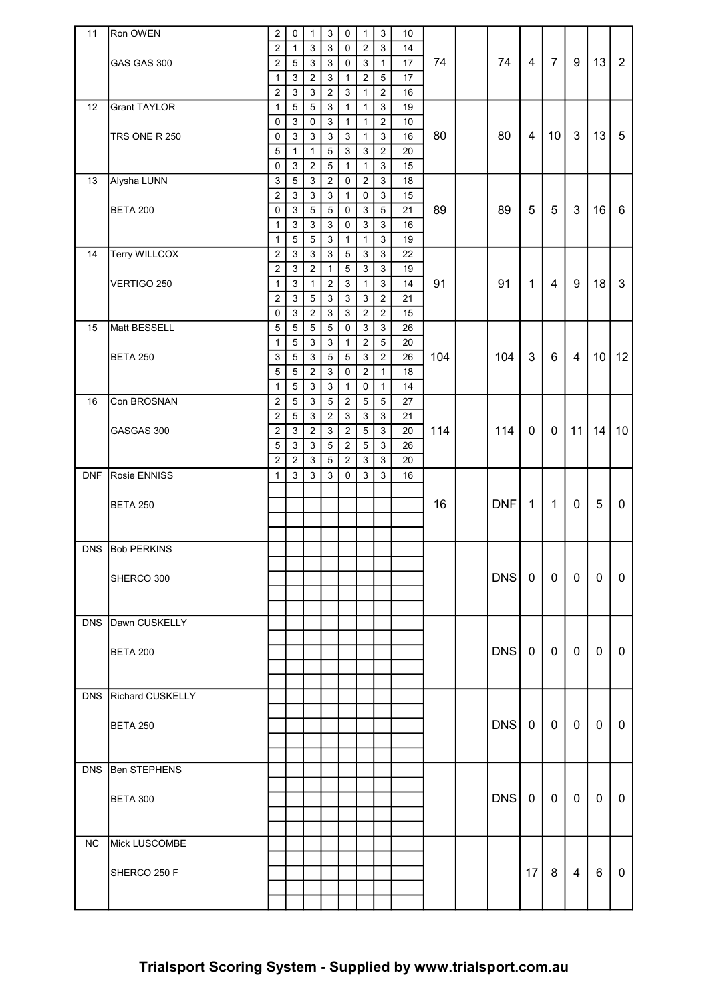| 11         | Ron OWEN            | $\overline{c}$            | $\mathbf 0$               | $\mathbf{1}$     | $\ensuremath{\mathsf{3}}$ | $\pmb{0}$      | $\mathbf{1}$        | 3              | 10 |     |            |                         |                 |              |                 |                 |
|------------|---------------------|---------------------------|---------------------------|------------------|---------------------------|----------------|---------------------|----------------|----|-----|------------|-------------------------|-----------------|--------------|-----------------|-----------------|
|            |                     | 2                         | $\mathbf{1}$              | $\sqrt{3}$       | $\mathfrak{Z}$            | $\mathbf 0$    | $\overline{2}$      | $\mathfrak{S}$ | 14 |     |            |                         |                 |              |                 |                 |
|            | GAS GAS 300         | $\overline{2}$            | $\sqrt{5}$                | $\mathbf{3}$     | $\mathbf{3}$              | $\mathbf 0$    | $\overline{3}$      | $\overline{1}$ | 17 | 74  | 74         | 4                       | $\overline{7}$  | 9            | 13              | $\overline{2}$  |
|            |                     | $\mathbf{1}$              | $\mathbf{3}$              | $\overline{2}$   | $\mathfrak{Z}$            | $\mathbf{1}$   | $\overline{2}$      | $\overline{5}$ | 17 |     |            |                         |                 |              |                 |                 |
|            |                     | $\overline{2}$            | $\ensuremath{\mathsf{3}}$ | $\mathbf{3}$     | $\sqrt{2}$                | $\mathbf{3}$   | 1                   | $\overline{c}$ | 16 |     |            |                         |                 |              |                 |                 |
| 12         | <b>Grant TAYLOR</b> | 1                         | $\sqrt{5}$                | 5                | 3                         | $\mathbf{1}$   | $\mathbf{1}$        | $\mathbf{3}$   | 19 |     |            |                         |                 |              |                 |                 |
|            |                     | 0                         | $\ensuremath{\mathsf{3}}$ | $\pmb{0}$        | $\sqrt{3}$                | $\mathbf{1}$   | $\mathbf{1}$        | $\overline{c}$ | 10 |     |            |                         |                 |              |                 |                 |
|            | TRS ONE R 250       | 0                         | $\mathbf{3}$              | $\sqrt{3}$       | $\sqrt{3}$                | $\mathbf{3}$   | $\mathbf{1}$        | $\mathbf{3}$   | 16 | 80  | 80         | $\overline{\mathbf{4}}$ | 10 <sup>°</sup> | $\mathbf{3}$ | 13              | 5               |
|            |                     | 5                         | $\mathbf{1}$              | $\mathbf{1}$     | $\,$ 5 $\,$               | $\mathfrak{S}$ | $\mathfrak{S}$      | $\overline{c}$ | 20 |     |            |                         |                 |              |                 |                 |
|            |                     | 0                         | 3                         | $\overline{c}$   | $\sqrt{5}$                | $\mathbf{1}$   | $\mathbf{1}$        | $\mathbf{3}$   | 15 |     |            |                         |                 |              |                 |                 |
| 13         | Alysha LUNN         | $\mathsf 3$               | 5                         | $\mathbf{3}$     | $\overline{2}$            | 0              | $\overline{a}$      | $\mathbf{3}$   | 18 |     |            |                         |                 |              |                 |                 |
|            |                     | $\overline{c}$            | $\mathbf{3}$              | $\mathbf{3}$     | $\mathfrak{Z}$            | $\mathbf{1}$   | $\mathsf{O}\xspace$ | $\mathbf{3}$   | 15 |     |            |                         |                 |              |                 |                 |
|            | <b>BETA 200</b>     | 0                         | $\ensuremath{\mathsf{3}}$ | $\,$ 5 $\,$      | $\sqrt{5}$                | $\mathbf 0$    | $\mathfrak{S}$      | 5              | 21 | 89  | 89         | 5                       | 5               | $\mathbf{3}$ | 16              | 6               |
|            |                     | $\mathbf{1}$              | $\sqrt{3}$                | 3                | 3                         | $\mathbf 0$    | $\mathbf{3}$        | $\mathfrak{S}$ | 16 |     |            |                         |                 |              |                 |                 |
|            |                     | $\mathbf{1}$              | 5                         | $\mathbf 5$      | $\sqrt{3}$                | $\mathbf{1}$   | $\mathbf{1}$        | 3              | 19 |     |            |                         |                 |              |                 |                 |
| 14         | Terry WILLCOX       | $\overline{2}$            | $\mathbf{3}$              | $\mathbf{3}$     | $\mathbf{3}$              | $\sqrt{5}$     | $\mathbf{3}$        | $\mathfrak{S}$ | 22 |     |            |                         |                 |              |                 |                 |
|            |                     | $\overline{c}$            | $\mathbf{3}$              | $\boldsymbol{2}$ | $\mathbf{1}$              | $\overline{5}$ | $\mathbf{3}$        | $\mathbf{3}$   | 19 |     |            |                         |                 |              |                 |                 |
|            | VERTIGO 250         | 1                         | $\sqrt{3}$                | 1                | $\overline{2}$            | $\mathbf{3}$   | 1                   | 3              | 14 | 91  | 91         | $\mathbf{1}$            | $\overline{4}$  | 9            | 18              | 3               |
|            |                     | $\overline{2}$            | $\sqrt{3}$                | 5                | $\mathfrak{S}$            | $\mathbf{3}$   | 3                   | $\overline{2}$ | 21 |     |            |                         |                 |              |                 |                 |
|            |                     | $\pmb{0}$                 | $\mathbf{3}$              | $\sqrt{2}$       | $\mathfrak{Z}$            | $\mathfrak{Z}$ | $\overline{2}$      | $\overline{2}$ | 15 |     |            |                         |                 |              |                 |                 |
| 15         | Matt BESSELL        | 5                         | $\sqrt{5}$                | 5                | $\overline{5}$            | $\mathbf 0$    | 3                   | 3              | 26 |     |            |                         |                 |              |                 |                 |
|            |                     | 1                         | $\sqrt{5}$                | 3                | $\ensuremath{\mathsf{3}}$ | $\mathbf{1}$   | $\boldsymbol{2}$    | 5              | 20 |     |            |                         |                 |              |                 |                 |
|            | <b>BETA 250</b>     | $\ensuremath{\mathsf{3}}$ | $\sqrt{5}$                | $\mathsf 3$      | $\,$ 5 $\,$               | $\,$ 5 $\,$    | $\mathfrak{S}$      | $\overline{c}$ | 26 | 104 | 104        | 3                       | 6               | 4            | 10 <sup>1</sup> | 12              |
|            |                     | 5                         | $\overline{5}$            | $\sqrt{2}$       | $\mathbf{3}$              | $\mathbf 0$    | $\overline{c}$      | $\mathbf{1}$   | 18 |     |            |                         |                 |              |                 |                 |
|            |                     | $\mathbf{1}$              | 5                         | $\sqrt{3}$       | 3                         | $\mathbf{1}$   | 0                   | $\mathbf{1}$   | 14 |     |            |                         |                 |              |                 |                 |
| 16         | Con BROSNAN         | $\overline{2}$            | 5                         | 3                | 5                         | $\overline{2}$ | 5                   | 5              | 27 |     |            |                         |                 |              |                 |                 |
|            |                     | 2                         | 5                         | 3                | $\overline{2}$            | 3              | 3                   | 3              | 21 |     |            |                         |                 |              |                 |                 |
|            | GASGAS 300          | $\overline{c}$            | $\mathfrak{S}$            | $\overline{2}$   | $\mathfrak{S}$            | $\overline{2}$ | $\overline{5}$      | 3              | 20 | 114 | 114        | $\mathbf 0$             | $\mathbf 0$     | 11           | 14              | 10 <sup>°</sup> |
|            |                     | 5                         | $\sqrt{3}$                | 3                | $\overline{5}$            | $\overline{2}$ | 5                   | 3              | 26 |     |            |                         |                 |              |                 |                 |
|            |                     | $\overline{c}$            | $\overline{2}$            | $\mathbf{3}$     | $\sqrt{5}$                | $\overline{2}$ | 3                   | 3              | 20 |     |            |                         |                 |              |                 |                 |
| <b>DNF</b> | Rosie ENNISS        | $\mathbf{1}$              | 3                         | $\mathbf{3}$     | $\mathbf{3}$              | 0              | 3                   | 3              | 16 |     |            |                         |                 |              |                 |                 |
|            |                     |                           |                           |                  |                           |                |                     |                |    |     |            |                         |                 |              |                 |                 |
|            | <b>BETA 250</b>     |                           |                           |                  |                           |                |                     |                |    | 16  | <b>DNF</b> | $\mathbf{1}$            | $\mathbf{1}$    | $\mathbf{0}$ | 5               | 0               |
|            |                     |                           |                           |                  |                           |                |                     |                |    |     |            |                         |                 |              |                 |                 |
|            |                     |                           |                           |                  |                           |                |                     |                |    |     |            |                         |                 |              |                 |                 |
| <b>DNS</b> | <b>Bob PERKINS</b>  |                           |                           |                  |                           |                |                     |                |    |     |            |                         |                 |              |                 |                 |
|            |                     |                           |                           |                  |                           |                |                     |                |    |     |            |                         |                 |              |                 |                 |
|            | SHERCO 300          |                           |                           |                  |                           |                |                     |                |    |     | DNS 0      |                         | 0 <sup>1</sup>  | 0            | 0               | 0               |
|            |                     |                           |                           |                  |                           |                |                     |                |    |     |            |                         |                 |              |                 |                 |
|            |                     |                           |                           |                  |                           |                |                     |                |    |     |            |                         |                 |              |                 |                 |
|            |                     |                           |                           |                  |                           |                |                     |                |    |     |            |                         |                 |              |                 |                 |
| <b>DNS</b> | Dawn CUSKELLY       |                           |                           |                  |                           |                |                     |                |    |     |            |                         |                 |              |                 |                 |
|            |                     |                           |                           |                  |                           |                |                     |                |    |     |            |                         |                 |              |                 |                 |
|            | <b>BETA 200</b>     |                           |                           |                  |                           |                |                     |                |    |     | DNS        | $\mathbf{0}$            | $\mathbf{0}$    | 0            | $\mathbf{0}$    | 0               |
|            |                     |                           |                           |                  |                           |                |                     |                |    |     |            |                         |                 |              |                 |                 |
|            |                     |                           |                           |                  |                           |                |                     |                |    |     |            |                         |                 |              |                 |                 |
| <b>DNS</b> | Richard CUSKELLY    |                           |                           |                  |                           |                |                     |                |    |     |            |                         |                 |              |                 |                 |
|            |                     |                           |                           |                  |                           |                |                     |                |    |     |            |                         |                 |              |                 |                 |
|            | <b>BETA 250</b>     |                           |                           |                  |                           |                |                     |                |    |     | DNS        | 0                       | $\mathbf 0$     | $\mathbf{0}$ | $\mathbf 0$     | $\mathbf{0}$    |
|            |                     |                           |                           |                  |                           |                |                     |                |    |     |            |                         |                 |              |                 |                 |
|            |                     |                           |                           |                  |                           |                |                     |                |    |     |            |                         |                 |              |                 |                 |
| <b>DNS</b> | <b>Ben STEPHENS</b> |                           |                           |                  |                           |                |                     |                |    |     |            |                         |                 |              |                 |                 |
|            |                     |                           |                           |                  |                           |                |                     |                |    |     |            |                         |                 |              |                 |                 |
|            | <b>BETA 300</b>     |                           |                           |                  |                           |                |                     |                |    |     | DNS        | 0                       | $\mathbf 0$     | 0            | 0               | 0               |
|            |                     |                           |                           |                  |                           |                |                     |                |    |     |            |                         |                 |              |                 |                 |
|            |                     |                           |                           |                  |                           |                |                     |                |    |     |            |                         |                 |              |                 |                 |
| NC         | Mick LUSCOMBE       |                           |                           |                  |                           |                |                     |                |    |     |            |                         |                 |              |                 |                 |
|            |                     |                           |                           |                  |                           |                |                     |                |    |     |            |                         |                 |              |                 |                 |
|            | SHERCO 250 F        |                           |                           |                  |                           |                |                     |                |    |     |            | 17                      | 8               | 4            | 6               | $\mathbf{0}$    |
|            |                     |                           |                           |                  |                           |                |                     |                |    |     |            |                         |                 |              |                 |                 |
|            |                     |                           |                           |                  |                           |                |                     |                |    |     |            |                         |                 |              |                 |                 |
|            |                     |                           |                           |                  |                           |                |                     |                |    |     |            |                         |                 |              |                 |                 |